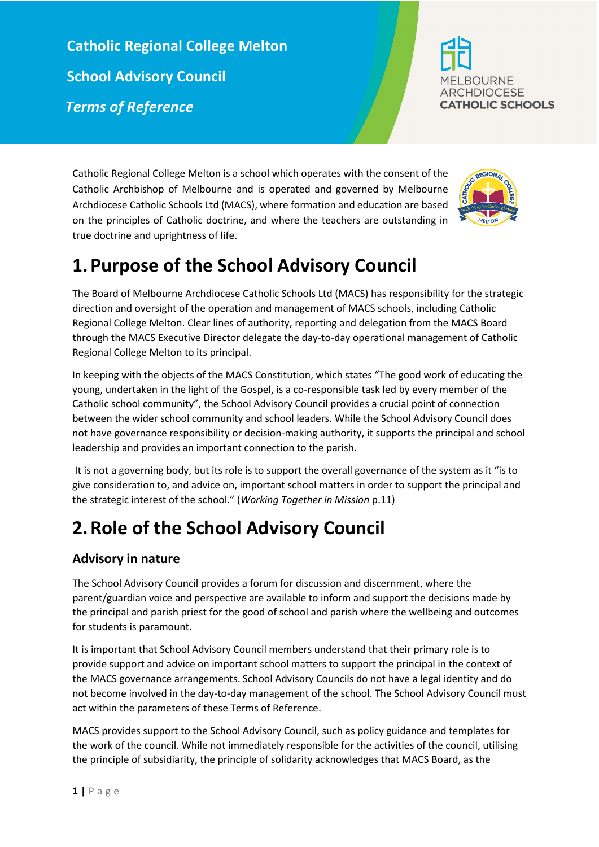**Catholic Regional College Melton School Advisory Council**  *Terms of Reference*



Catholic Regional College Melton is a school which operates with the consent of the Catholic Archbishop of Melbourne and is operated and governed by Melbourne Archdiocese Catholic Schools Ltd (MACS), where formation and education are based on the principles of Catholic doctrine, and where the teachers are outstanding in true doctrine and uprightness of life.



# **1.Purpose of the School Advisory Council**

The Board of Melbourne Archdiocese Catholic Schools Ltd (MACS) has responsibility for the strategic direction and oversight of the operation and management of MACS schools, including Catholic Regional College Melton. Clear lines of authority, reporting and delegation from the MACS Board through the MACS Executive Director delegate the day-to-day operational management of Catholic Regional College Melton to its principal.

In keeping with the objects of the MACS Constitution, which states "The good work of educating the young, undertaken in the light of the Gospel, is a co-responsible task led by every member of the Catholic school community", the School Advisory Council provides a crucial point of connection between the wider school community and school leaders. While the School Advisory Council does not have governance responsibility or decision-making authority, it supports the principal and school leadership and provides an important connection to the parish.

It is not a governing body, but its role is to support the overall governance of the system as it "is to give consideration to, and advice on, important school matters in order to support the principal and the strategic interest of the school." (*Working Together in Mission* p.11)

# **2.Role of the School Advisory Council**

# **Advisory in nature**

The School Advisory Council provides a forum for discussion and discernment, where the parent/guardian voice and perspective are available to inform and support the decisions made by the principal and parish priest for the good of school and parish where the wellbeing and outcomes for students is paramount.

It is important that School Advisory Council members understand that their primary role is to provide support and advice on important school matters to support the principal in the context of the MACS governance arrangements. School Advisory Councils do not have a legal identity and do not become involved in the day-to-day management of the school. The School Advisory Council must act within the parameters of these Terms of Reference.

MACS provides support to the School Advisory Council, such as policy guidance and templates for the work of the council. While not immediately responsible for the activities of the council, utilising the principle of subsidiarity, the principle of solidarity acknowledges that MACS Board, as the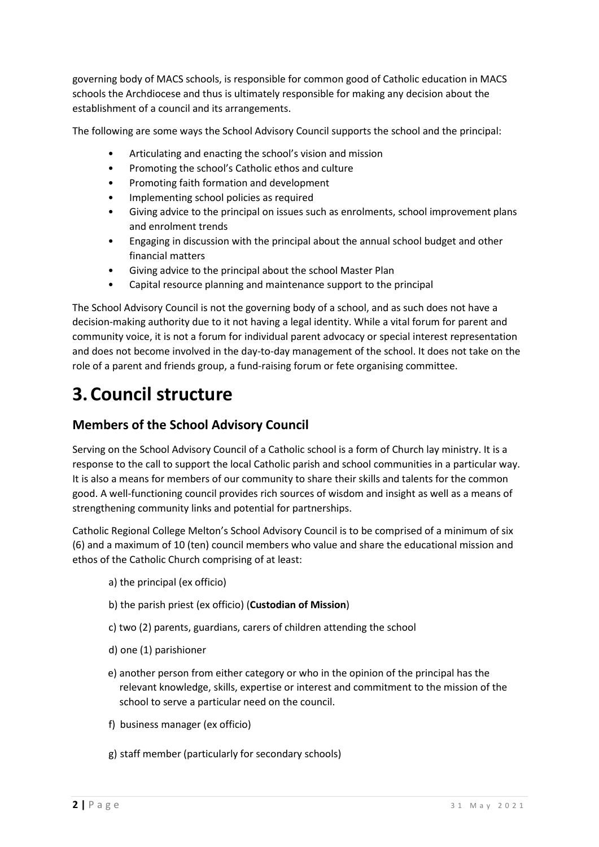governing body of MACS schools, is responsible for common good of Catholic education in MACS schools the Archdiocese and thus is ultimately responsible for making any decision about the establishment of a council and its arrangements.

The following are some ways the School Advisory Council supports the school and the principal:

- Articulating and enacting the school's vision and mission
- Promoting the school's Catholic ethos and culture
- Promoting faith formation and development
- Implementing school policies as required
- Giving advice to the principal on issues such as enrolments, school improvement plans and enrolment trends
- Engaging in discussion with the principal about the annual school budget and other financial matters
- Giving advice to the principal about the school Master Plan
- Capital resource planning and maintenance support to the principal

The School Advisory Council is not the governing body of a school, and as such does not have a decision-making authority due to it not having a legal identity. While a vital forum for parent and community voice, it is not a forum for individual parent advocacy or special interest representation and does not become involved in the day-to-day management of the school. It does not take on the role of a parent and friends group, a fund-raising forum or fete organising committee.

# **3.Council structure**

## **Members of the School Advisory Council**

Serving on the School Advisory Council of a Catholic school is a form of Church lay ministry. It is a response to the call to support the local Catholic parish and school communities in a particular way. It is also a means for members of our community to share their skills and talents for the common good. A well-functioning council provides rich sources of wisdom and insight as well as a means of strengthening community links and potential for partnerships.

Catholic Regional College Melton's School Advisory Council is to be comprised of a minimum of six (6) and a maximum of 10 (ten) council members who value and share the educational mission and ethos of the Catholic Church comprising of at least:

- a) the principal (ex officio)
- b) the parish priest (ex officio) (**Custodian of Mission**)
- c) two (2) parents, guardians, carers of children attending the school
- d) one (1) parishioner
- e) another person from either category or who in the opinion of the principal has the relevant knowledge, skills, expertise or interest and commitment to the mission of the school to serve a particular need on the council.
- f) business manager (ex officio)
- g) staff member (particularly for secondary schools)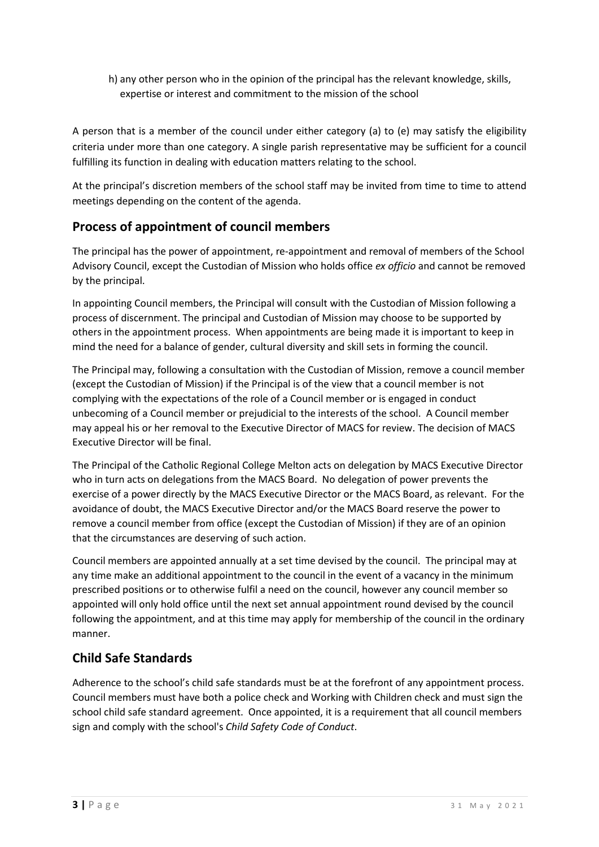h) any other person who in the opinion of the principal has the relevant knowledge, skills, expertise or interest and commitment to the mission of the school

A person that is a member of the council under either category (a) to (e) may satisfy the eligibility criteria under more than one category. A single parish representative may be sufficient for a council fulfilling its function in dealing with education matters relating to the school.

At the principal's discretion members of the school staff may be invited from time to time to attend meetings depending on the content of the agenda.

## **Process of appointment of council members**

The principal has the power of appointment, re-appointment and removal of members of the School Advisory Council, except the Custodian of Mission who holds office *ex officio* and cannot be removed by the principal.

In appointing Council members, the Principal will consult with the Custodian of Mission following a process of discernment. The principal and Custodian of Mission may choose to be supported by others in the appointment process. When appointments are being made it is important to keep in mind the need for a balance of gender, cultural diversity and skill sets in forming the council.

The Principal may, following a consultation with the Custodian of Mission, remove a council member (except the Custodian of Mission) if the Principal is of the view that a council member is not complying with the expectations of the role of a Council member or is engaged in conduct unbecoming of a Council member or prejudicial to the interests of the school. A Council member may appeal his or her removal to the Executive Director of MACS for review. The decision of MACS Executive Director will be final.

The Principal of the Catholic Regional College Melton acts on delegation by MACS Executive Director who in turn acts on delegations from the MACS Board. No delegation of power prevents the exercise of a power directly by the MACS Executive Director or the MACS Board, as relevant. For the avoidance of doubt, the MACS Executive Director and/or the MACS Board reserve the power to remove a council member from office (except the Custodian of Mission) if they are of an opinion that the circumstances are deserving of such action.

Council members are appointed annually at a set time devised by the council. The principal may at any time make an additional appointment to the council in the event of a vacancy in the minimum prescribed positions or to otherwise fulfil a need on the council, however any council member so appointed will only hold office until the next set annual appointment round devised by the council following the appointment, and at this time may apply for membership of the council in the ordinary manner.

## **Child Safe Standards**

Adherence to the school's child safe standards must be at the forefront of any appointment process. Council members must have both a police check and Working with Children check and must sign the school child safe standard agreement. Once appointed, it is a requirement that all council members sign and comply with the school's *Child Safety Code of Conduct*.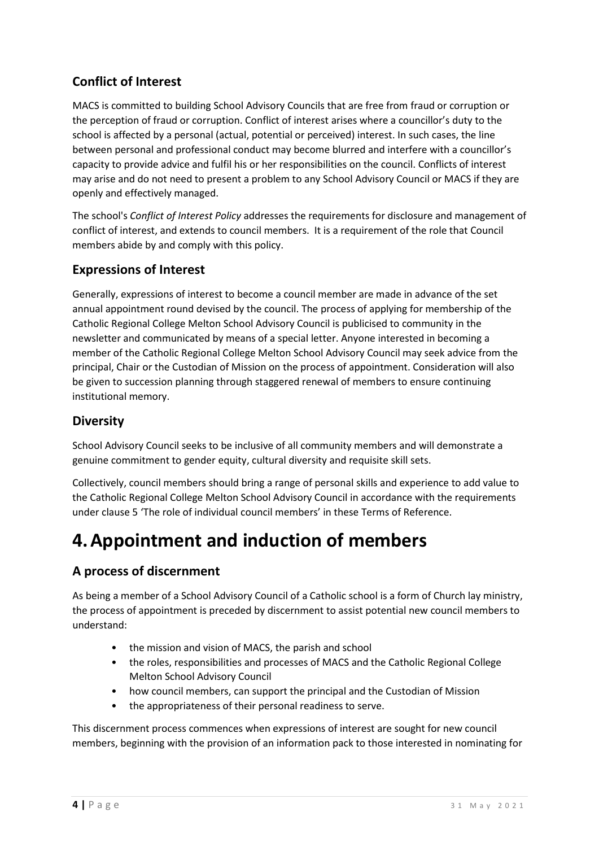## **Conflict of Interest**

MACS is committed to building School Advisory Councils that are free from fraud or corruption or the perception of fraud or corruption. Conflict of interest arises where a councillor's duty to the school is affected by a personal (actual, potential or perceived) interest. In such cases, the line between personal and professional conduct may become blurred and interfere with a councillor's capacity to provide advice and fulfil his or her responsibilities on the council. Conflicts of interest may arise and do not need to present a problem to any School Advisory Council or MACS if they are openly and effectively managed.

The school's *Conflict of Interest Policy* addresses the requirements for disclosure and management of conflict of interest, and extends to council members. It is a requirement of the role that Council members abide by and comply with this policy.

## **Expressions of Interest**

Generally, expressions of interest to become a council member are made in advance of the set annual appointment round devised by the council. The process of applying for membership of the Catholic Regional College Melton School Advisory Council is publicised to community in the newsletter and communicated by means of a special letter. Anyone interested in becoming a member of the Catholic Regional College Melton School Advisory Council may seek advice from the principal, Chair or the Custodian of Mission on the process of appointment. Consideration will also be given to succession planning through staggered renewal of members to ensure continuing institutional memory.

### **Diversity**

School Advisory Council seeks to be inclusive of all community members and will demonstrate a genuine commitment to gender equity, cultural diversity and requisite skill sets.

Collectively, council members should bring a range of personal skills and experience to add value to the Catholic Regional College Melton School Advisory Council in accordance with the requirements under claus[e 5](#page-5-0) 'The role of individual council members' in these Terms of Reference.

# **4.Appointment and induction of members**

## **A process of discernment**

As being a member of a School Advisory Council of a Catholic school is a form of Church lay ministry, the process of appointment is preceded by discernment to assist potential new council members to understand:

- the mission and vision of MACS, the parish and school
- the roles, responsibilities and processes of MACS and the Catholic Regional College Melton School Advisory Council
- how council members, can support the principal and the Custodian of Mission
- the appropriateness of their personal readiness to serve.

This discernment process commences when expressions of interest are sought for new council members, beginning with the provision of an information pack to those interested in nominating for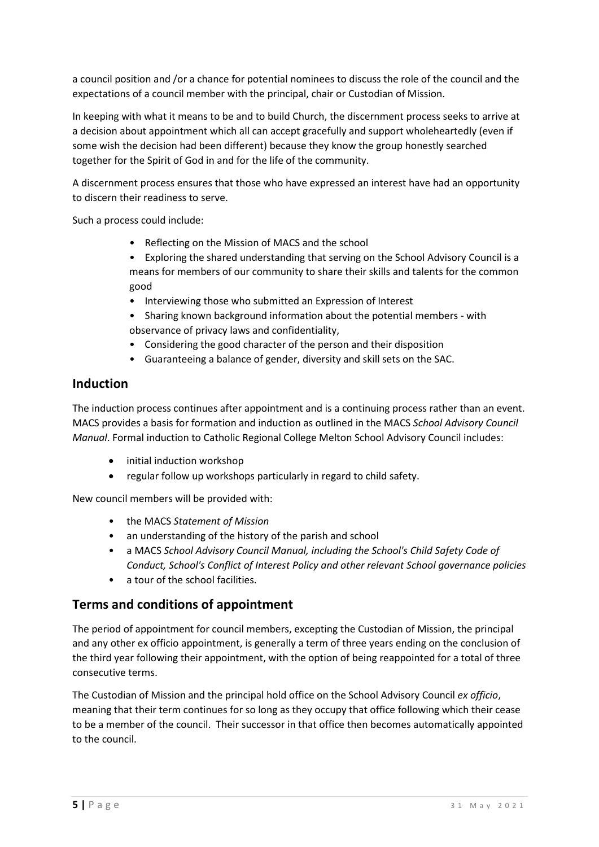a council position and /or a chance for potential nominees to discuss the role of the council and the expectations of a council member with the principal, chair or Custodian of Mission.

In keeping with what it means to be and to build Church, the discernment process seeks to arrive at a decision about appointment which all can accept gracefully and support wholeheartedly (even if some wish the decision had been different) because they know the group honestly searched together for the Spirit of God in and for the life of the community.

A discernment process ensures that those who have expressed an interest have had an opportunity to discern their readiness to serve.

Such a process could include:

- Reflecting on the Mission of MACS and the school
- Exploring the shared understanding that serving on the School Advisory Council is a means for members of our community to share their skills and talents for the common good
- Interviewing those who submitted an Expression of Interest
- Sharing known background information about the potential members with observance of privacy laws and confidentiality,
- Considering the good character of the person and their disposition
- Guaranteeing a balance of gender, diversity and skill sets on the SAC.

#### **Induction**

The induction process continues after appointment and is a continuing process rather than an event. MACS provides a basis for formation and induction as outlined in the MACS *School Advisory Council Manual*. Formal induction to Catholic Regional College Melton School Advisory Council includes:

- initial induction workshop
- regular follow up workshops particularly in regard to child safety.

New council members will be provided with:

- the MACS *Statement of Mission*
- an understanding of the history of the parish and school
- a MACS *School Advisory Council Manual, including the School's Child Safety Code of Conduct, School's Conflict of Interest Policy and other relevant School governance policies*
- a tour of the school facilities.

### **Terms and conditions of appointment**

The period of appointment for council members, excepting the Custodian of Mission, the principal and any other ex officio appointment, is generally a term of three years ending on the conclusion of the third year following their appointment, with the option of being reappointed for a total of three consecutive terms.

The Custodian of Mission and the principal hold office on the School Advisory Council *ex officio*, meaning that their term continues for so long as they occupy that office following which their cease to be a member of the council. Their successor in that office then becomes automatically appointed to the council.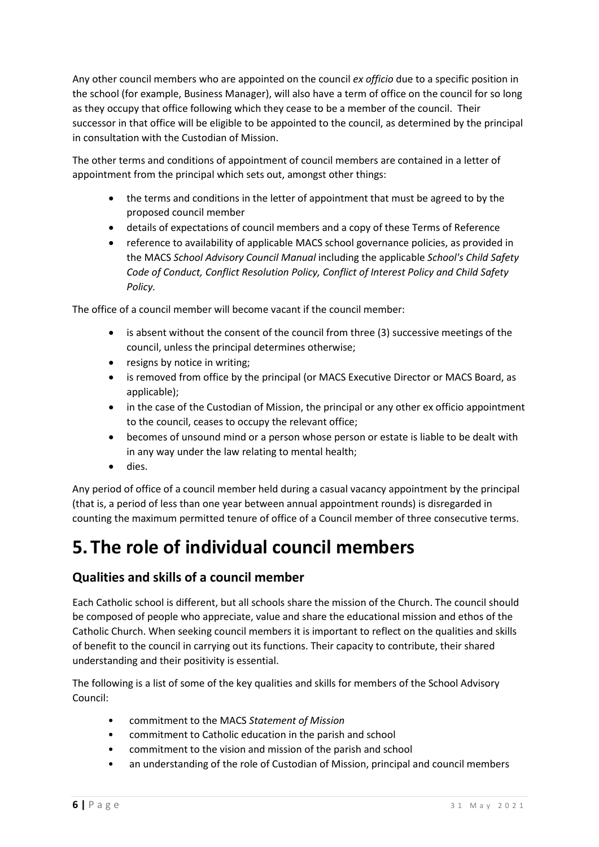Any other council members who are appointed on the council *ex officio* due to a specific position in the school (for example, Business Manager), will also have a term of office on the council for so long as they occupy that office following which they cease to be a member of the council. Their successor in that office will be eligible to be appointed to the council, as determined by the principal in consultation with the Custodian of Mission.

The other terms and conditions of appointment of council members are contained in a letter of appointment from the principal which sets out, amongst other things:

- the terms and conditions in the letter of appointment that must be agreed to by the proposed council member
- details of expectations of council members and a copy of these Terms of Reference
- reference to availability of applicable MACS school governance policies, as provided in the MACS *School Advisory Council Manual* including the applicable *School's Child Safety Code of Conduct, Conflict Resolution Policy, Conflict of Interest Policy and Child Safety Policy.*

The office of a council member will become vacant if the council member:

- is absent without the consent of the council from three (3) successive meetings of the council, unless the principal determines otherwise;
- resigns by notice in writing;
- is removed from office by the principal (or MACS Executive Director or MACS Board, as applicable);
- in the case of the Custodian of Mission, the principal or any other ex officio appointment to the council, ceases to occupy the relevant office;
- becomes of unsound mind or a person whose person or estate is liable to be dealt with in any way under the law relating to mental health;
- dies.

Any period of office of a council member held during a casual vacancy appointment by the principal (that is, a period of less than one year between annual appointment rounds) is disregarded in counting the maximum permitted tenure of office of a Council member of three consecutive terms.

# <span id="page-5-0"></span>**5.The role of individual council members**

### **Qualities and skills of a council member**

Each Catholic school is different, but all schools share the mission of the Church. The council should be composed of people who appreciate, value and share the educational mission and ethos of the Catholic Church. When seeking council members it is important to reflect on the qualities and skills of benefit to the council in carrying out its functions. Their capacity to contribute, their shared understanding and their positivity is essential.

The following is a list of some of the key qualities and skills for members of the School Advisory Council:

- commitment to the MACS *Statement of Mission*
- commitment to Catholic education in the parish and school
- commitment to the vision and mission of the parish and school
- an understanding of the role of Custodian of Mission, principal and council members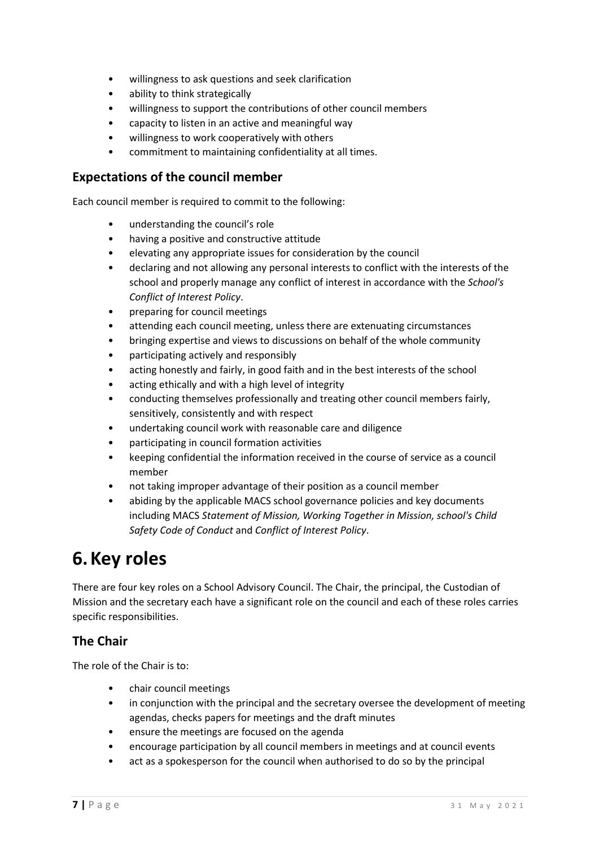- willingness to ask questions and seek clarification
- ability to think strategically
- willingness to support the contributions of other council members
- capacity to listen in an active and meaningful way
- willingness to work cooperatively with others
- commitment to maintaining confidentiality at all times.

#### **Expectations of the council member**

Each council member is required to commit to the following:

- understanding the council's role
- having a positive and constructive attitude
- elevating any appropriate issues for consideration by the council
- declaring and not allowing any personal interests to conflict with the interests of the school and properly manage any conflict of interest in accordance with the *School's Conflict of Interest Policy*.
- preparing for council meetings
- attending each council meeting, unless there are extenuating circumstances
- bringing expertise and views to discussions on behalf of the whole community
- participating actively and responsibly
- acting honestly and fairly, in good faith and in the best interests of the school
- acting ethically and with a high level of integrity
- conducting themselves professionally and treating other council members fairly, sensitively, consistently and with respect
- undertaking council work with reasonable care and diligence
- participating in council formation activities
- keeping confidential the information received in the course of service as a council member
- not taking improper advantage of their position as a council member
- abiding by the applicable MACS school governance policies and key documents including MACS *Statement of Mission, Working Together in Mission, school's Child Safety Code of Conduct* and *Conflict of Interest Policy*.

# **6.Key roles**

There are four key roles on a School Advisory Council. The Chair, the principal, the Custodian of Mission and the secretary each have a significant role on the council and each of these roles carries specific responsibilities.

### **The Chair**

The role of the Chair is to:

- chair council meetings
- in conjunction with the principal and the secretary oversee the development of meeting agendas, checks papers for meetings and the draft minutes
- ensure the meetings are focused on the agenda
- encourage participation by all council members in meetings and at council events
- act as a spokesperson for the council when authorised to do so by the principal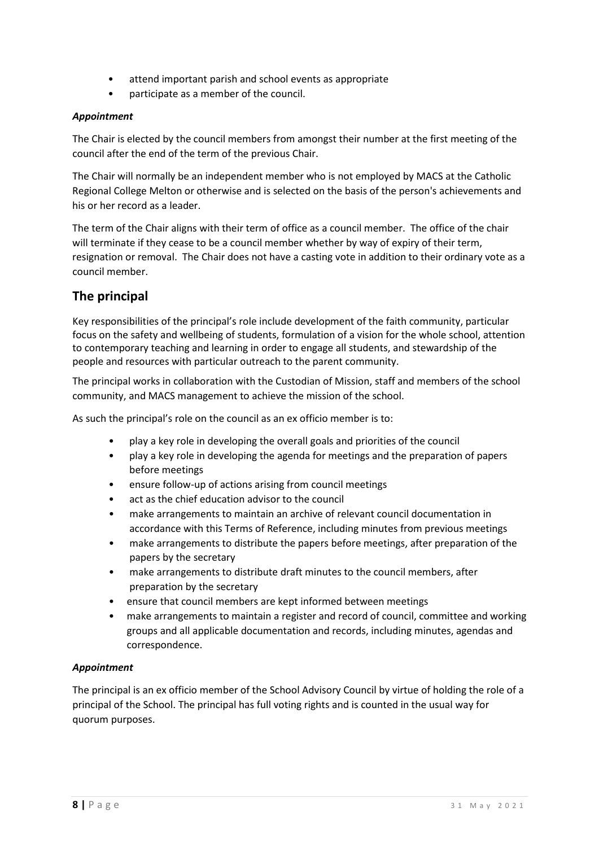- attend important parish and school events as appropriate
- participate as a member of the council.

#### *Appointment*

The Chair is elected by the council members from amongst their number at the first meeting of the council after the end of the term of the previous Chair.

The Chair will normally be an independent member who is not employed by MACS at the Catholic Regional College Melton or otherwise and is selected on the basis of the person's achievements and his or her record as a leader.

The term of the Chair aligns with their term of office as a council member. The office of the chair will terminate if they cease to be a council member whether by way of expiry of their term, resignation or removal. The Chair does not have a casting vote in addition to their ordinary vote as a council member.

### **The principal**

Key responsibilities of the principal's role include development of the faith community, particular focus on the safety and wellbeing of students, formulation of a vision for the whole school, attention to contemporary teaching and learning in order to engage all students, and stewardship of the people and resources with particular outreach to the parent community.

The principal works in collaboration with the Custodian of Mission, staff and members of the school community, and MACS management to achieve the mission of the school.

As such the principal's role on the council as an ex officio member is to:

- play a key role in developing the overall goals and priorities of the council
- play a key role in developing the agenda for meetings and the preparation of papers before meetings
- ensure follow-up of actions arising from council meetings
- act as the chief education advisor to the council
- make arrangements to maintain an archive of relevant council documentation in accordance with this Terms of Reference, including minutes from previous meetings
- make arrangements to distribute the papers before meetings, after preparation of the papers by the secretary
- make arrangements to distribute draft minutes to the council members, after preparation by the secretary
- ensure that council members are kept informed between meetings
- make arrangements to maintain a register and record of council, committee and working groups and all applicable documentation and records, including minutes, agendas and correspondence.

#### *Appointment*

The principal is an ex officio member of the School Advisory Council by virtue of holding the role of a principal of the School. The principal has full voting rights and is counted in the usual way for quorum purposes.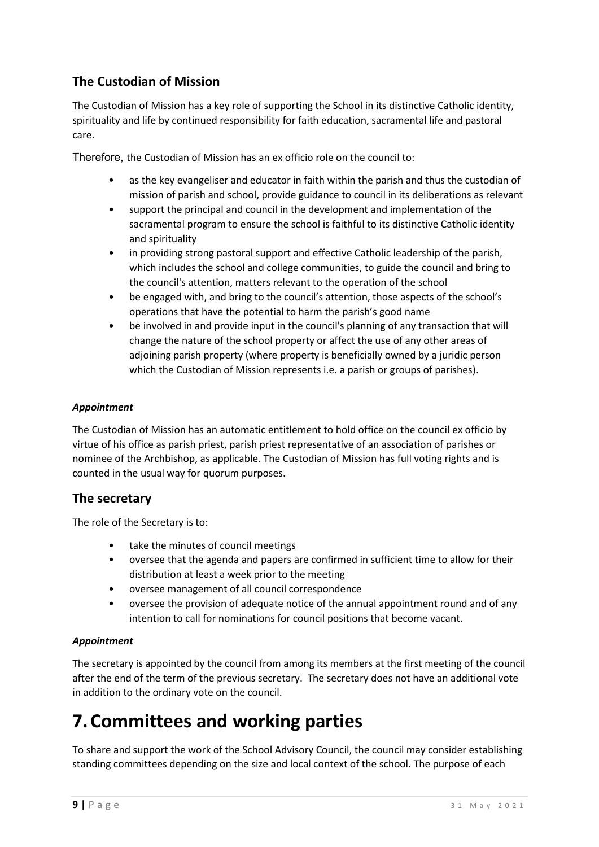## **The Custodian of Mission**

The Custodian of Mission has a key role of supporting the School in its distinctive Catholic identity, spirituality and life by continued responsibility for faith education, sacramental life and pastoral care.

Therefore, the Custodian of Mission has an ex officio role on the council to:

- as the key evangeliser and educator in faith within the parish and thus the custodian of mission of parish and school, provide guidance to council in its deliberations as relevant
- support the principal and council in the development and implementation of the sacramental program to ensure the school is faithful to its distinctive Catholic identity and spirituality
- in providing strong pastoral support and effective Catholic leadership of the parish, which includes the school and college communities, to guide the council and bring to the council's attention, matters relevant to the operation of the school
- be engaged with, and bring to the council's attention, those aspects of the school's operations that have the potential to harm the parish's good name
- be involved in and provide input in the council's planning of any transaction that will change the nature of the school property or affect the use of any other areas of adjoining parish property (where property is beneficially owned by a juridic person which the Custodian of Mission represents *i.e.* a parish or groups of parishes).

#### *Appointment*

The Custodian of Mission has an automatic entitlement to hold office on the council ex officio by virtue of his office as parish priest, parish priest representative of an association of parishes or nominee of the Archbishop, as applicable. The Custodian of Mission has full voting rights and is counted in the usual way for quorum purposes.

### **The secretary**

The role of the Secretary is to:

- take the minutes of council meetings
- oversee that the agenda and papers are confirmed in sufficient time to allow for their distribution at least a week prior to the meeting
- oversee management of all council correspondence
- oversee the provision of adequate notice of the annual appointment round and of any intention to call for nominations for council positions that become vacant.

#### *Appointment*

The secretary is appointed by the council from among its members at the first meeting of the council after the end of the term of the previous secretary. The secretary does not have an additional vote in addition to the ordinary vote on the council.

# **7.Committees and working parties**

To share and support the work of the School Advisory Council, the council may consider establishing standing committees depending on the size and local context of the school. The purpose of each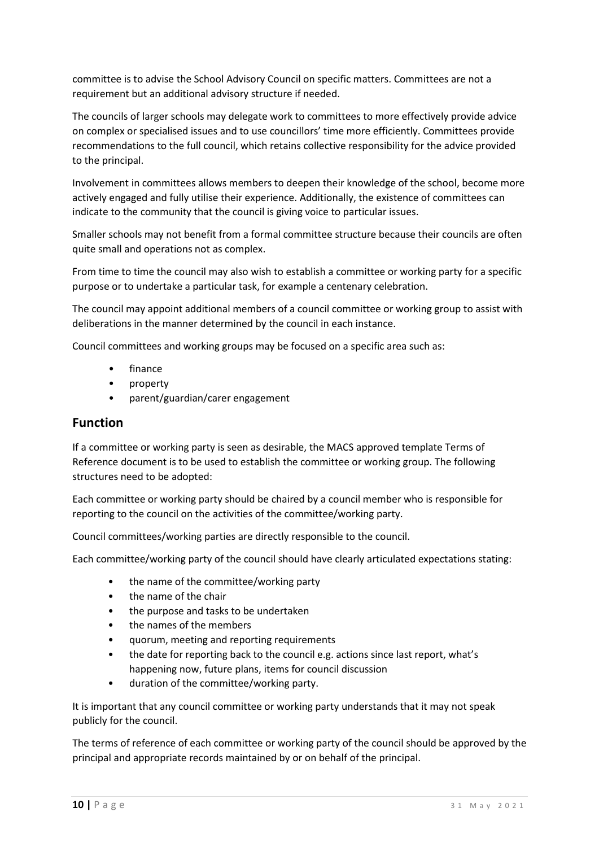committee is to advise the School Advisory Council on specific matters. Committees are not a requirement but an additional advisory structure if needed.

The councils of larger schools may delegate work to committees to more effectively provide advice on complex or specialised issues and to use councillors' time more efficiently. Committees provide recommendations to the full council, which retains collective responsibility for the advice provided to the principal.

Involvement in committees allows members to deepen their knowledge of the school, become more actively engaged and fully utilise their experience. Additionally, the existence of committees can indicate to the community that the council is giving voice to particular issues.

Smaller schools may not benefit from a formal committee structure because their councils are often quite small and operations not as complex.

From time to time the council may also wish to establish a committee or working party for a specific purpose or to undertake a particular task, for example a centenary celebration.

The council may appoint additional members of a council committee or working group to assist with deliberations in the manner determined by the council in each instance.

Council committees and working groups may be focused on a specific area such as:

- finance
- property
- parent/guardian/carer engagement

#### **Function**

If a committee or working party is seen as desirable, the MACS approved template Terms of Reference document is to be used to establish the committee or working group. The following structures need to be adopted:

Each committee or working party should be chaired by a council member who is responsible for reporting to the council on the activities of the committee/working party.

Council committees/working parties are directly responsible to the council.

Each committee/working party of the council should have clearly articulated expectations stating:

- the name of the committee/working party
- the name of the chair
- the purpose and tasks to be undertaken
- the names of the members
- quorum, meeting and reporting requirements
- the date for reporting back to the council e.g. actions since last report, what's happening now, future plans, items for council discussion
- duration of the committee/working party.

It is important that any council committee or working party understands that it may not speak publicly for the council.

The terms of reference of each committee or working party of the council should be approved by the principal and appropriate records maintained by or on behalf of the principal.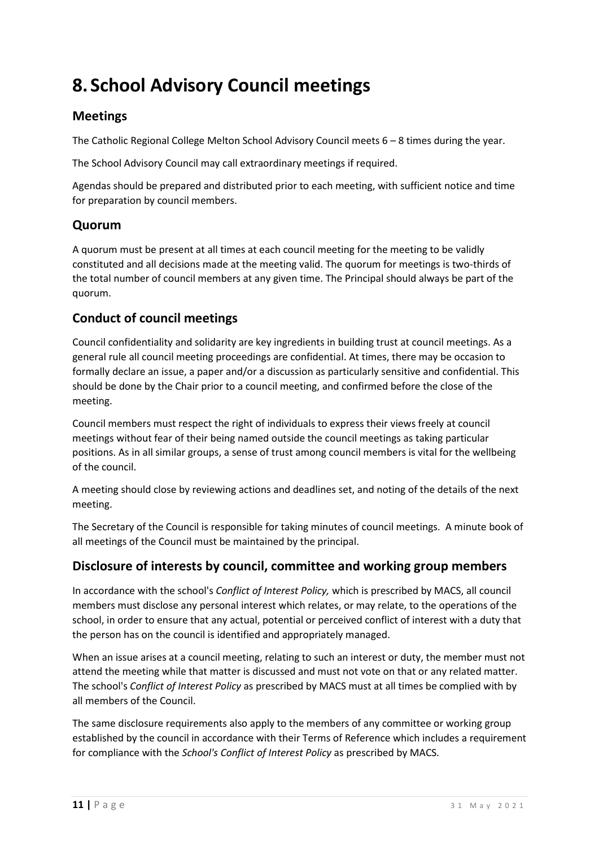# **8. School Advisory Council meetings**

## **Meetings**

The Catholic Regional College Melton School Advisory Council meets 6 – 8 times during the year.

The School Advisory Council may call extraordinary meetings if required.

Agendas should be prepared and distributed prior to each meeting, with sufficient notice and time for preparation by council members.

### **Quorum**

A quorum must be present at all times at each council meeting for the meeting to be validly constituted and all decisions made at the meeting valid. The quorum for meetings is two-thirds of the total number of council members at any given time. The Principal should always be part of the quorum.

## **Conduct of council meetings**

Council confidentiality and solidarity are key ingredients in building trust at council meetings. As a general rule all council meeting proceedings are confidential. At times, there may be occasion to formally declare an issue, a paper and/or a discussion as particularly sensitive and confidential. This should be done by the Chair prior to a council meeting, and confirmed before the close of the meeting.

Council members must respect the right of individuals to express their views freely at council meetings without fear of their being named outside the council meetings as taking particular positions. As in all similar groups, a sense of trust among council members is vital for the wellbeing of the council.

A meeting should close by reviewing actions and deadlines set, and noting of the details of the next meeting.

The Secretary of the Council is responsible for taking minutes of council meetings. A minute book of all meetings of the Council must be maintained by the principal.

### **Disclosure of interests by council, committee and working group members**

In accordance with the school's *Conflict of Interest Policy,* which is prescribed by MACS, all council members must disclose any personal interest which relates, or may relate, to the operations of the school, in order to ensure that any actual, potential or perceived conflict of interest with a duty that the person has on the council is identified and appropriately managed.

When an issue arises at a council meeting, relating to such an interest or duty, the member must not attend the meeting while that matter is discussed and must not vote on that or any related matter. The school's *Conflict of Interest Policy* as prescribed by MACS must at all times be complied with by all members of the Council.

The same disclosure requirements also apply to the members of any committee or working group established by the council in accordance with their Terms of Reference which includes a requirement for compliance with the *School's Conflict of Interest Policy* as prescribed by MACS.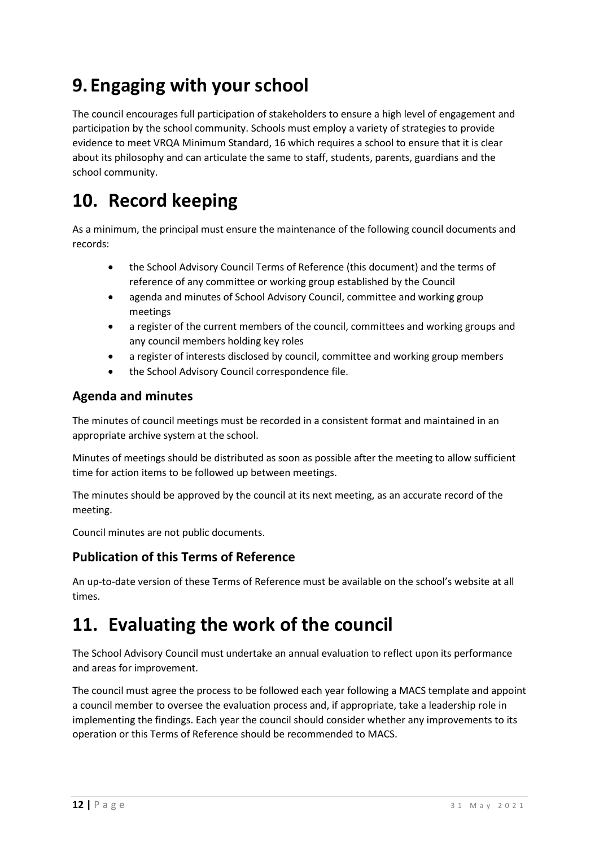# **9.Engaging with your school**

The council encourages full participation of stakeholders to ensure a high level of engagement and participation by the school community. Schools must employ a variety of strategies to provide evidence to meet VRQA Minimum Standard, 16 which requires a school to ensure that it is clear about its philosophy and can articulate the same to staff, students, parents, guardians and the school community.

# **10. Record keeping**

As a minimum, the principal must ensure the maintenance of the following council documents and records:

- the School Advisory Council Terms of Reference (this document) and the terms of reference of any committee or working group established by the Council
- agenda and minutes of School Advisory Council, committee and working group meetings
- a register of the current members of the council, committees and working groups and any council members holding key roles
- a register of interests disclosed by council, committee and working group members
- the School Advisory Council correspondence file.

## **Agenda and minutes**

The minutes of council meetings must be recorded in a consistent format and maintained in an appropriate archive system at the school.

Minutes of meetings should be distributed as soon as possible after the meeting to allow sufficient time for action items to be followed up between meetings.

The minutes should be approved by the council at its next meeting, as an accurate record of the meeting.

Council minutes are not public documents.

## **Publication of this Terms of Reference**

An up-to-date version of these Terms of Reference must be available on the school's website at all times.

# **11. Evaluating the work of the council**

The School Advisory Council must undertake an annual evaluation to reflect upon its performance and areas for improvement.

The council must agree the process to be followed each year following a MACS template and appoint a council member to oversee the evaluation process and, if appropriate, take a leadership role in implementing the findings. Each year the council should consider whether any improvements to its operation or this Terms of Reference should be recommended to MACS.